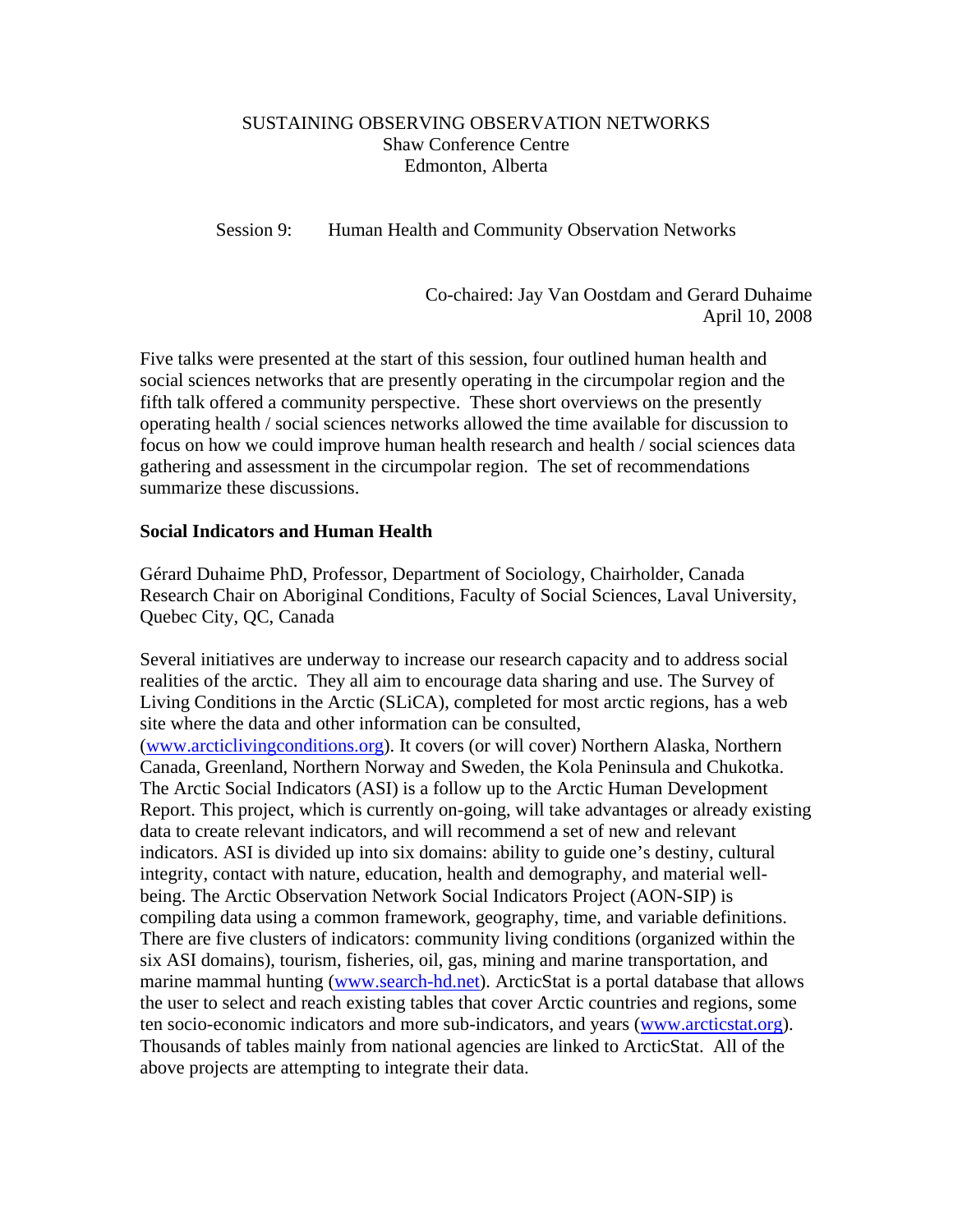## SUSTAINING OBSERVING OBSERVATION NETWORKS Shaw Conference Centre Edmonton, Alberta

Session 9: Human Health and Community Observation Networks

Co-chaired: Jay Van Oostdam and Gerard Duhaime April 10, 2008

Five talks were presented at the start of this session, four outlined human health and social sciences networks that are presently operating in the circumpolar region and the fifth talk offered a community perspective. These short overviews on the presently operating health / social sciences networks allowed the time available for discussion to focus on how we could improve human health research and health / social sciences data gathering and assessment in the circumpolar region. The set of recommendations summarize these discussions.

### **Social Indicators and Human Health**

Gérard Duhaime PhD, Professor, Department of Sociology, Chairholder, Canada Research Chair on Aboriginal Conditions, Faculty of Social Sciences, Laval University, Quebec City, QC, Canada

Several initiatives are underway to increase our research capacity and to address social realities of the arctic. They all aim to encourage data sharing and use. The Survey of Living Conditions in the Arctic (SLiCA), completed for most arctic regions, has a web site where the data and other information can be consulted, ([www.arcticlivingconditions.org\)](http://www.arcticlivingconditions.org/). It covers (or will cover) Northern Alaska, Northern Canada, Greenland, Northern Norway and Sweden, the Kola Peninsula and Chukotka. The Arctic Social Indicators (ASI) is a follow up to the Arctic Human Development Report. This project, which is currently on-going, will take advantages or already existing data to create relevant indicators, and will recommend a set of new and relevant indicators. ASI is divided up into six domains: ability to guide one's destiny, cultural integrity, contact with nature, education, health and demography, and material wellbeing. The Arctic Observation Network Social Indicators Project (AON-SIP) is compiling data using a common framework, geography, time, and variable definitions. There are five clusters of indicators: community living conditions (organized within the six ASI domains), tourism, fisheries, oil, gas, mining and marine transportation, and marine mammal hunting ([www.search-hd.net](http://www.search-hd.net/)). ArcticStat is a portal database that allows the user to select and reach existing tables that cover Arctic countries and regions, some ten socio-economic indicators and more sub-indicators, and years ([www.arcticstat.org\)](http://www.arcticstat.org/). Thousands of tables mainly from national agencies are linked to ArcticStat. All of the above projects are attempting to integrate their data.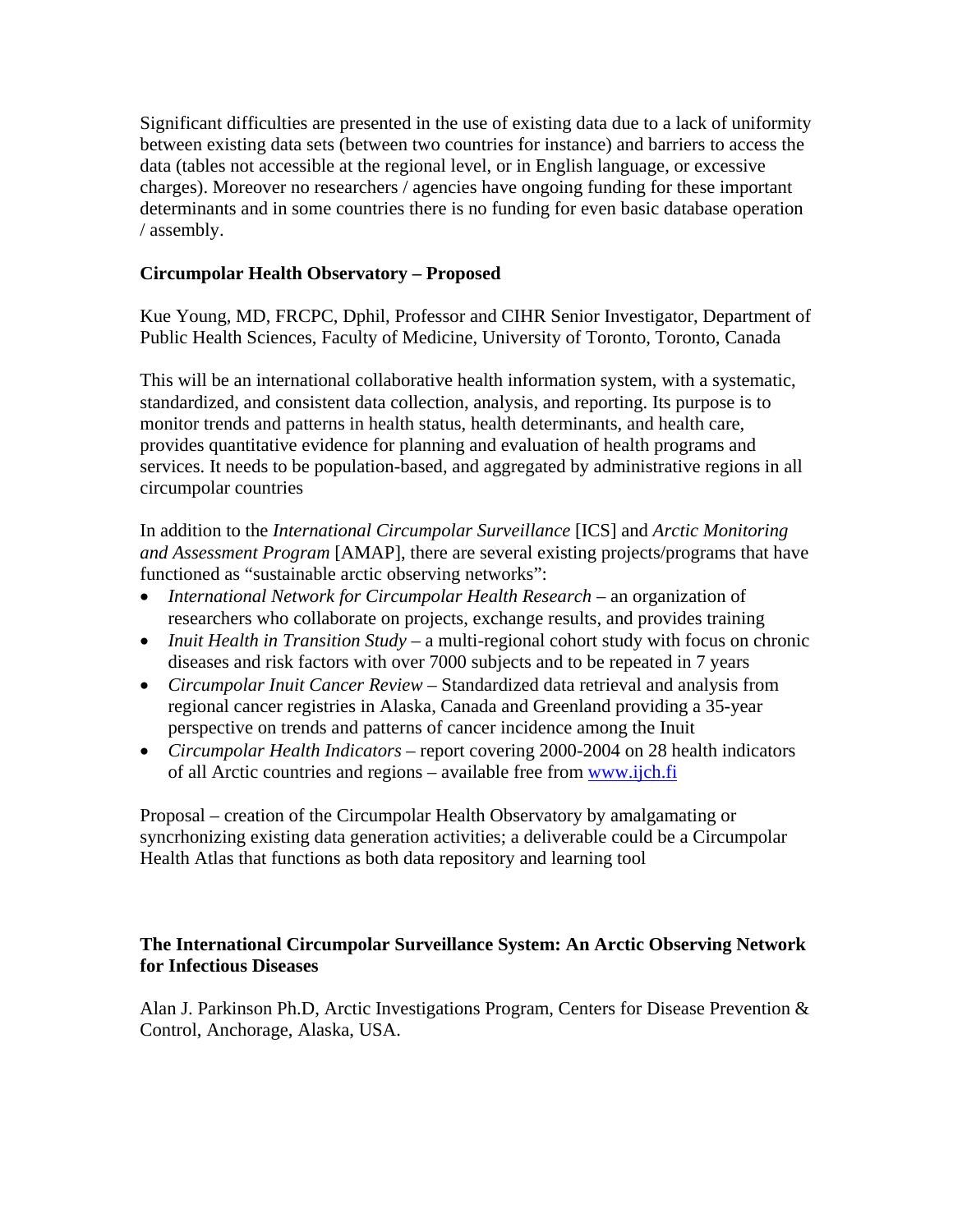Significant difficulties are presented in the use of existing data due to a lack of uniformity between existing data sets (between two countries for instance) and barriers to access the data (tables not accessible at the regional level, or in English language, or excessive charges). Moreover no researchers / agencies have ongoing funding for these important determinants and in some countries there is no funding for even basic database operation / assembly.

# **Circumpolar Health Observatory – Proposed**

Kue Young, MD, FRCPC, Dphil, Professor and CIHR Senior Investigator, Department of Public Health Sciences, Faculty of Medicine, University of Toronto, Toronto, Canada

This will be an international collaborative health information system, with a systematic, standardized, and consistent data collection, analysis, and reporting. Its purpose is to monitor trends and patterns in health status, health determinants, and health care, provides quantitative evidence for planning and evaluation of health programs and services. It needs to be population-based, and aggregated by administrative regions in all circumpolar countries

In addition to the *International Circumpolar Surveillance* [ICS] and *Arctic Monitoring and Assessment Program* [AMAP], there are several existing projects/programs that have functioned as "sustainable arctic observing networks":

- *International Network for Circumpolar Health Research* an organization of researchers who collaborate on projects, exchange results, and provides training
- *Inuit Health in Transition Study* a multi-regional cohort study with focus on chronic diseases and risk factors with over 7000 subjects and to be repeated in 7 years
- *Circumpolar Inuit Cancer Review*  Standardized data retrieval and analysis from regional cancer registries in Alaska, Canada and Greenland providing a 35-year perspective on trends and patterns of cancer incidence among the Inuit
- *Circumpolar Health Indicators* report covering 2000-2004 on 28 health indicators of all Arctic countries and regions – available free from [www.ijch.fi](http://www.ijch.fi/)

Proposal – creation of the Circumpolar Health Observatory by amalgamating or syncrhonizing existing data generation activities; a deliverable could be a Circumpolar Health Atlas that functions as both data repository and learning tool

## **The International Circumpolar Surveillance System: An Arctic Observing Network for Infectious Diseases**

Alan J. Parkinson Ph.D, Arctic Investigations Program, Centers for Disease Prevention & Control, Anchorage, Alaska, USA.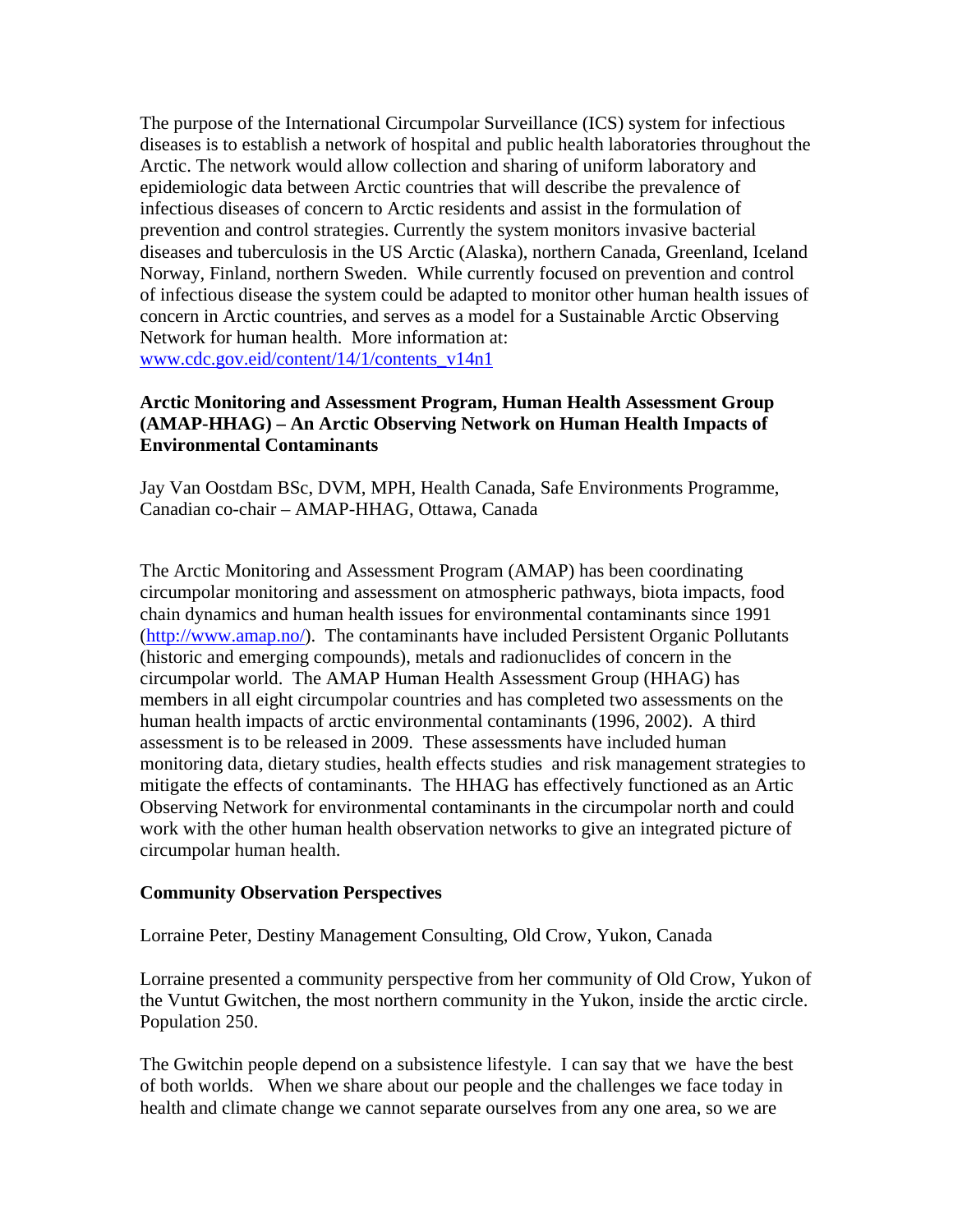The purpose of the International Circumpolar Surveillance (ICS) system for infectious diseases is to establish a network of hospital and public health laboratories throughout the Arctic. The network would allow collection and sharing of uniform laboratory and epidemiologic data between Arctic countries that will describe the prevalence of infectious diseases of concern to Arctic residents and assist in the formulation of prevention and control strategies. Currently the system monitors invasive bacterial diseases and tuberculosis in the US Arctic (Alaska), northern Canada, Greenland, Iceland Norway, Finland, northern Sweden. While currently focused on prevention and control of infectious disease the system could be adapted to monitor other human health issues of concern in Arctic countries, and serves as a model for a Sustainable Arctic Observing Network for human health. More information at: [www.cdc.gov.eid/content/14/1/contents\\_v14n1](http://www.cdc.gov.eid/content/14/1/contents_v14n1) 

## **Arctic Monitoring and Assessment Program, Human Health Assessment Group (AMAP-HHAG) – An Arctic Observing Network on Human Health Impacts of Environmental Contaminants**

Jay Van Oostdam BSc, DVM, MPH, Health Canada, Safe Environments Programme, Canadian co-chair – AMAP-HHAG, Ottawa, Canada

The Arctic Monitoring and Assessment Program (AMAP) has been coordinating circumpolar monitoring and assessment on atmospheric pathways, biota impacts, food chain dynamics and human health issues for environmental contaminants since 1991 ([http://www.amap.no/\)](http://www.amap.no/). The contaminants have included Persistent Organic Pollutants (historic and emerging compounds), metals and radionuclides of concern in the circumpolar world. The AMAP Human Health Assessment Group (HHAG) has members in all eight circumpolar countries and has completed two assessments on the human health impacts of arctic environmental contaminants (1996, 2002). A third assessment is to be released in 2009. These assessments have included human monitoring data, dietary studies, health effects studies and risk management strategies to mitigate the effects of contaminants. The HHAG has effectively functioned as an Artic Observing Network for environmental contaminants in the circumpolar north and could work with the other human health observation networks to give an integrated picture of circumpolar human health.

### **Community Observation Perspectives**

#### Lorraine Peter, Destiny Management Consulting, Old Crow, Yukon, Canada

Lorraine presented a community perspective from her community of Old Crow, Yukon of the Vuntut Gwitchen, the most northern community in the Yukon, inside the arctic circle. Population 250.

The Gwitchin people depend on a subsistence lifestyle. I can say that we have the best of both worlds. When we share about our people and the challenges we face today in health and climate change we cannot separate ourselves from any one area, so we are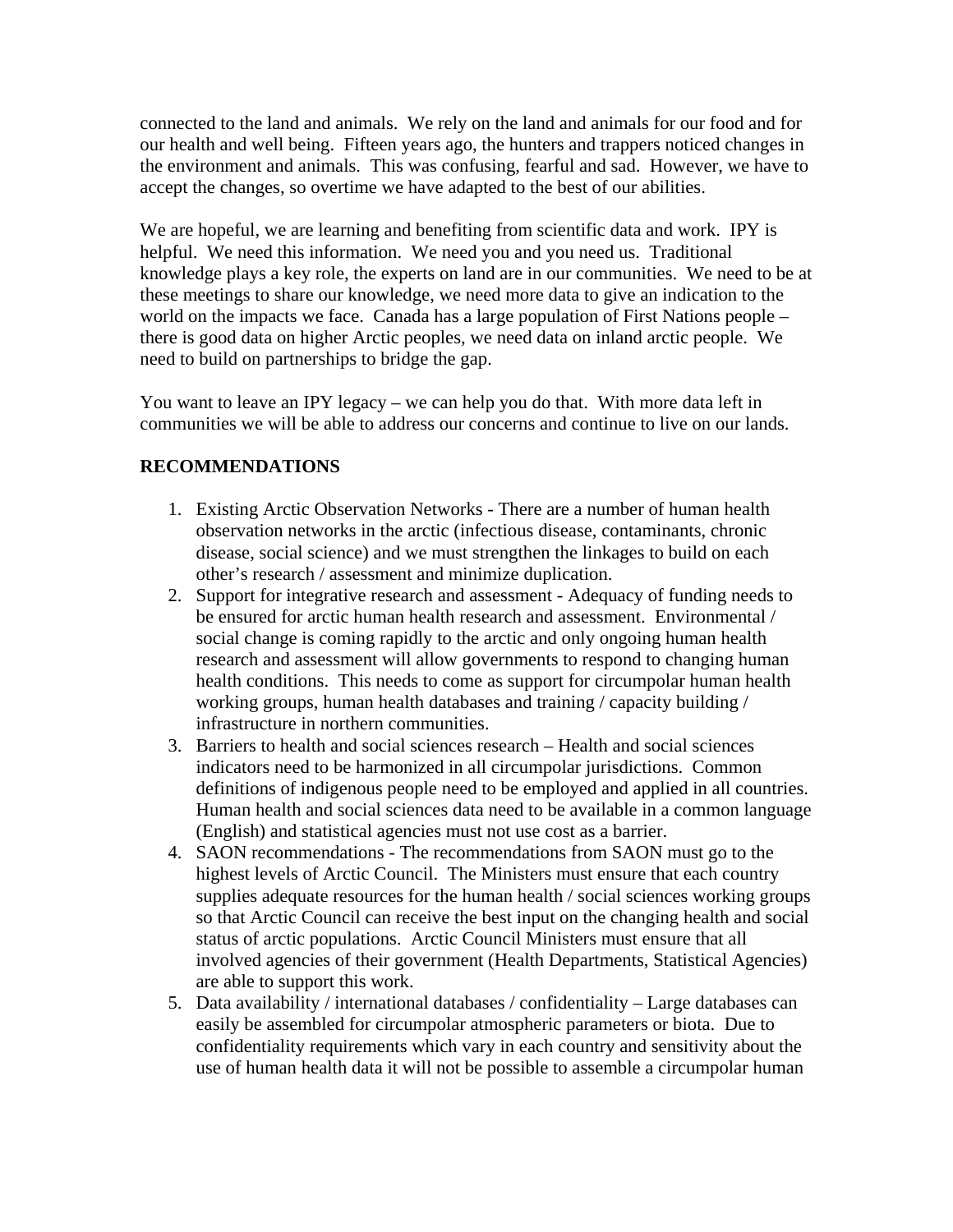connected to the land and animals. We rely on the land and animals for our food and for our health and well being. Fifteen years ago, the hunters and trappers noticed changes in the environment and animals. This was confusing, fearful and sad. However, we have to accept the changes, so overtime we have adapted to the best of our abilities.

We are hopeful, we are learning and benefiting from scientific data and work. IPY is helpful. We need this information. We need you and you need us. Traditional knowledge plays a key role, the experts on land are in our communities. We need to be at these meetings to share our knowledge, we need more data to give an indication to the world on the impacts we face. Canada has a large population of First Nations people – there is good data on higher Arctic peoples, we need data on inland arctic people. We need to build on partnerships to bridge the gap.

You want to leave an IPY legacy – we can help you do that. With more data left in communities we will be able to address our concerns and continue to live on our lands.

# **RECOMMENDATIONS**

- 1. Existing Arctic Observation Networks There are a number of human health observation networks in the arctic (infectious disease, contaminants, chronic disease, social science) and we must strengthen the linkages to build on each other's research / assessment and minimize duplication.
- 2. Support for integrative research and assessment Adequacy of funding needs to be ensured for arctic human health research and assessment. Environmental / social change is coming rapidly to the arctic and only ongoing human health research and assessment will allow governments to respond to changing human health conditions. This needs to come as support for circumpolar human health working groups, human health databases and training / capacity building / infrastructure in northern communities.
- 3. Barriers to health and social sciences research Health and social sciences indicators need to be harmonized in all circumpolar jurisdictions. Common definitions of indigenous people need to be employed and applied in all countries. Human health and social sciences data need to be available in a common language (English) and statistical agencies must not use cost as a barrier.
- 4. SAON recommendations The recommendations from SAON must go to the highest levels of Arctic Council. The Ministers must ensure that each country supplies adequate resources for the human health / social sciences working groups so that Arctic Council can receive the best input on the changing health and social status of arctic populations. Arctic Council Ministers must ensure that all involved agencies of their government (Health Departments, Statistical Agencies) are able to support this work.
- 5. Data availability / international databases / confidentiality Large databases can easily be assembled for circumpolar atmospheric parameters or biota. Due to confidentiality requirements which vary in each country and sensitivity about the use of human health data it will not be possible to assemble a circumpolar human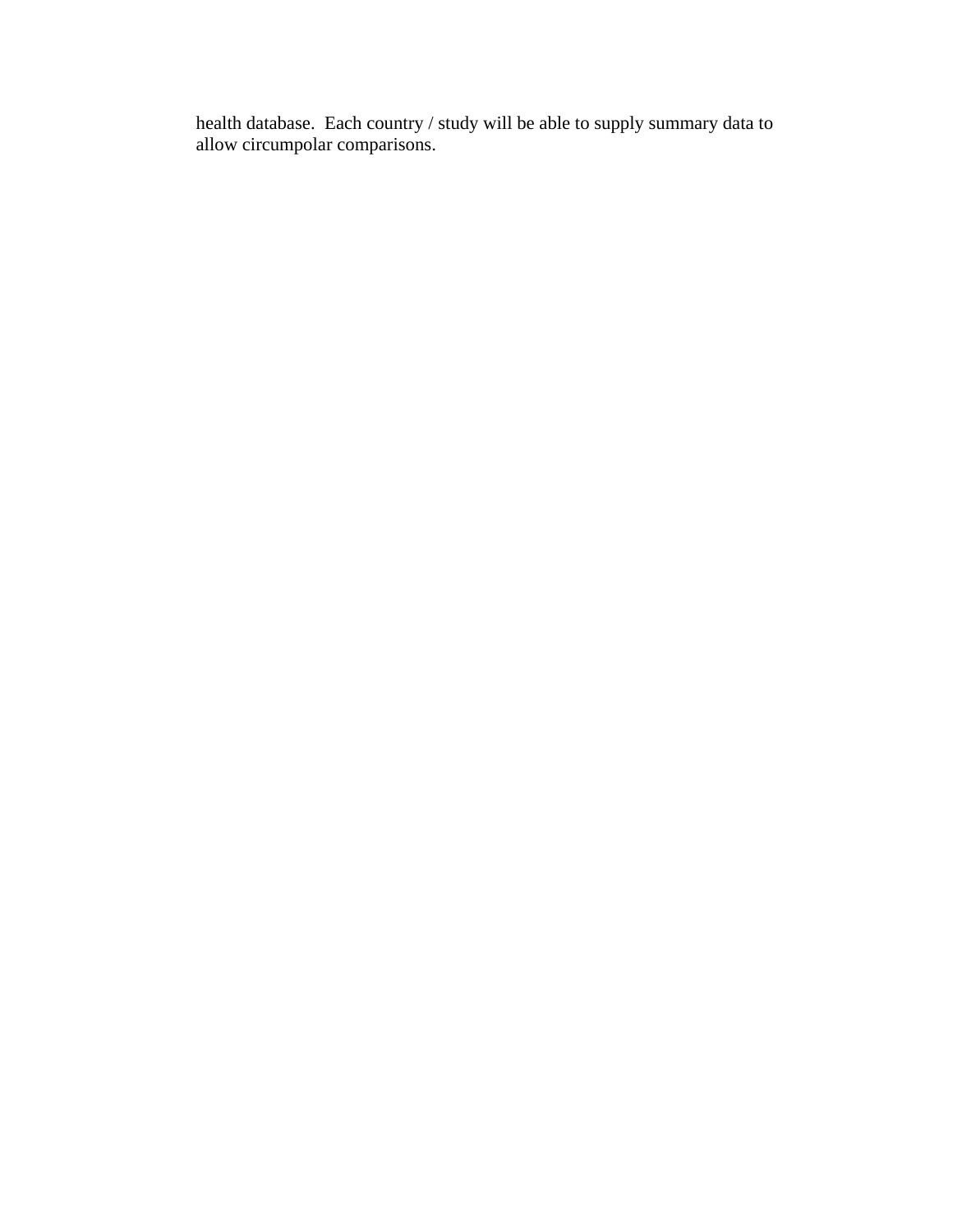health database. Each country / study will be able to supply summary data to allow circumpolar comparisons.